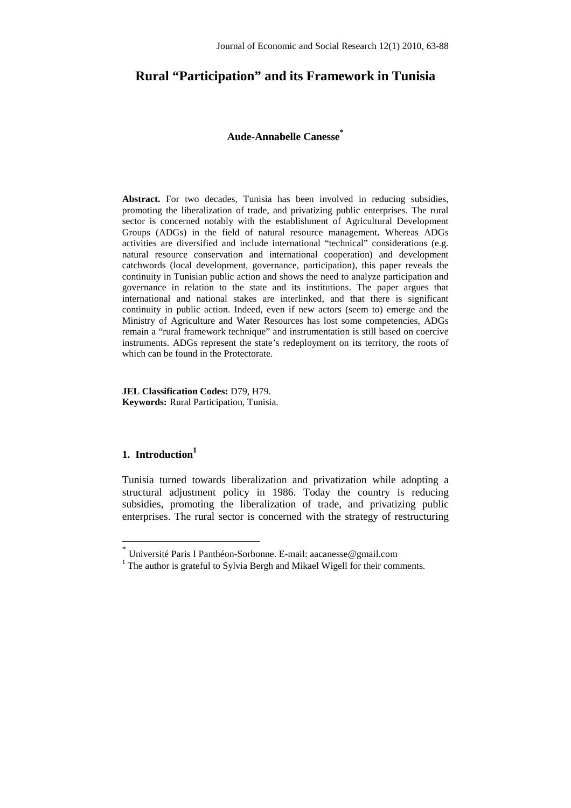# **Rural "Participation" and its Framework in Tunisia**

## **Aude-Annabelle Canesse\***

**Abstract.** For two decades, Tunisia has been involved in reducing subsidies, promoting the liberalization of trade, and privatizing public enterprises. The rural sector is concerned notably with the establishment of Agricultural Development Groups (ADGs) in the field of natural resource management**.** Whereas ADGs activities are diversified and include international "technical" considerations (e.g. natural resource conservation and international cooperation) and development catchwords (local development, governance, participation), this paper reveals the continuity in Tunisian public action and shows the need to analyze participation and governance in relation to the state and its institutions. The paper argues that international and national stakes are interlinked, and that there is significant continuity in public action. Indeed, even if new actors (seem to) emerge and the Ministry of Agriculture and Water Resources has lost some competencies, ADGs remain a "rural framework technique" and instrumentation is still based on coercive instruments. ADGs represent the state's redeployment on its territory, the roots of which can be found in the Protectorate.

**JEL Classification Codes:** D79, H79. **Keywords:** Rural Participation, Tunisia.

# **1. Introduction<sup>1</sup>**

 $\overline{a}$ 

Tunisia turned towards liberalization and privatization while adopting a structural adjustment policy in 1986. Today the country is reducing subsidies, promoting the liberalization of trade, and privatizing public enterprises. The rural sector is concerned with the strategy of restructuring

<sup>\*</sup> Université Paris I Panthéon-Sorbonne. E-mail: aacanesse@gmail.com

<sup>&</sup>lt;sup>1</sup> The author is grateful to Sylvia Bergh and Mikael Wigell for their comments.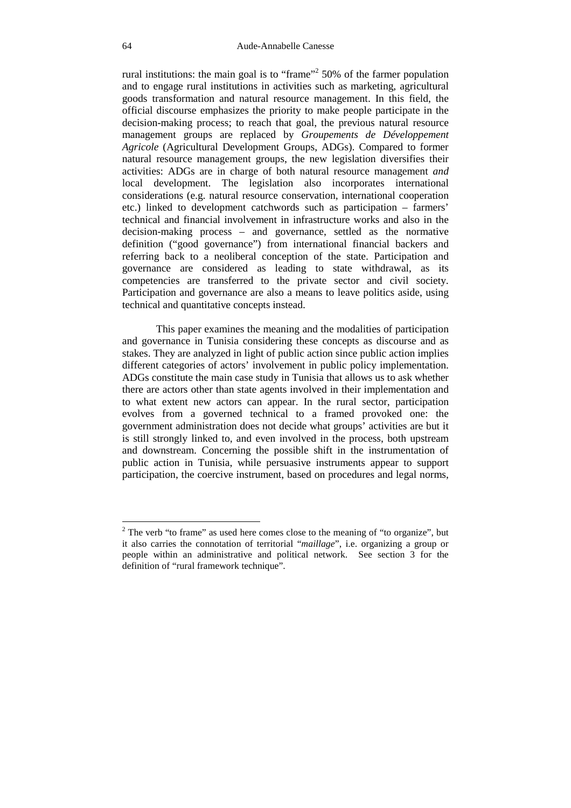rural institutions: the main goal is to "frame"<sup>2</sup> 50% of the farmer population and to engage rural institutions in activities such as marketing, agricultural goods transformation and natural resource management. In this field, the official discourse emphasizes the priority to make people participate in the decision-making process; to reach that goal, the previous natural resource management groups are replaced by *Groupements de Développement Agricole* (Agricultural Development Groups, ADGs). Compared to former natural resource management groups, the new legislation diversifies their activities: ADGs are in charge of both natural resource management *and*  local development. The legislation also incorporates international considerations (e.g. natural resource conservation, international cooperation etc.) linked to development catchwords such as participation – farmers' technical and financial involvement in infrastructure works and also in the decision-making process – and governance, settled as the normative definition ("good governance") from international financial backers and referring back to a neoliberal conception of the state. Participation and governance are considered as leading to state withdrawal, as its competencies are transferred to the private sector and civil society. Participation and governance are also a means to leave politics aside, using technical and quantitative concepts instead.

This paper examines the meaning and the modalities of participation and governance in Tunisia considering these concepts as discourse and as stakes. They are analyzed in light of public action since public action implies different categories of actors' involvement in public policy implementation. ADGs constitute the main case study in Tunisia that allows us to ask whether there are actors other than state agents involved in their implementation and to what extent new actors can appear. In the rural sector, participation evolves from a governed technical to a framed provoked one: the government administration does not decide what groups' activities are but it is still strongly linked to, and even involved in the process, both upstream and downstream. Concerning the possible shift in the instrumentation of public action in Tunisia, while persuasive instruments appear to support participation, the coercive instrument, based on procedures and legal norms,

 $2^2$  The verb "to frame" as used here comes close to the meaning of "to organize", but it also carries the connotation of territorial "*maillage*", i.e. organizing a group or people within an administrative and political network. See section 3 for the definition of "rural framework technique".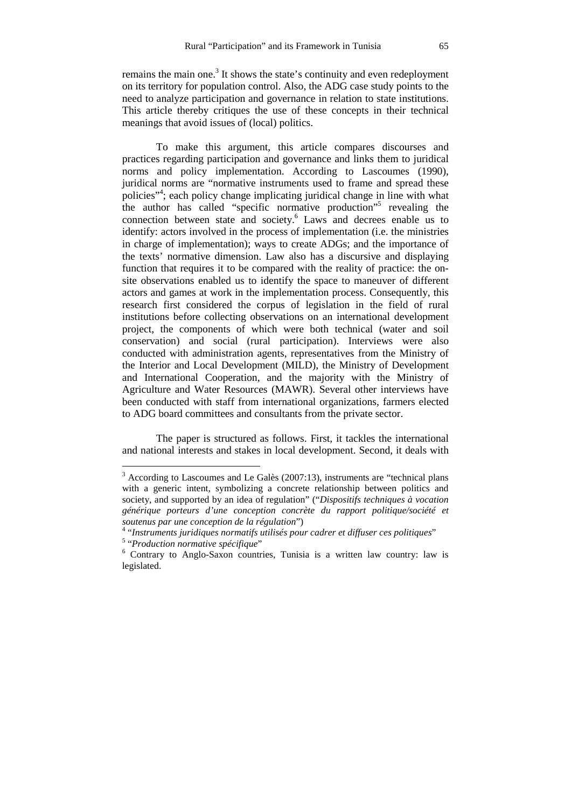remains the main one.<sup>3</sup> It shows the state's continuity and even redeployment on its territory for population control. Also, the ADG case study points to the need to analyze participation and governance in relation to state institutions. This article thereby critiques the use of these concepts in their technical meanings that avoid issues of (local) politics.

To make this argument, this article compares discourses and practices regarding participation and governance and links them to juridical norms and policy implementation. According to Lascoumes (1990), juridical norms are "normative instruments used to frame and spread these policies"<sup>4</sup>; each policy change implicating juridical change in line with what the author has called "specific normative production"<sup>5</sup> revealing the connection between state and society.<sup>6</sup> Laws and decrees enable us to identify: actors involved in the process of implementation (i.e. the ministries in charge of implementation); ways to create ADGs; and the importance of the texts' normative dimension. Law also has a discursive and displaying function that requires it to be compared with the reality of practice: the onsite observations enabled us to identify the space to maneuver of different actors and games at work in the implementation process. Consequently, this research first considered the corpus of legislation in the field of rural institutions before collecting observations on an international development project, the components of which were both technical (water and soil conservation) and social (rural participation). Interviews were also conducted with administration agents, representatives from the Ministry of the Interior and Local Development (MILD), the Ministry of Development and International Cooperation, and the majority with the Ministry of Agriculture and Water Resources (MAWR). Several other interviews have been conducted with staff from international organizations, farmers elected to ADG board committees and consultants from the private sector.

The paper is structured as follows. First, it tackles the international and national interests and stakes in local development. Second, it deals with

 $3$  According to Lascoumes and Le Galès (2007:13), instruments are "technical plans with a generic intent, symbolizing a concrete relationship between politics and society, and supported by an idea of regulation" ("*Dispositifs techniques à vocation générique porteurs d'une conception concrète du rapport politique/société et soutenus par une conception de la régulation*")

<sup>4</sup> "*Instruments juridiques normatifs utilisés pour cadrer et diffuser ces politiques*"

<sup>5</sup> "*Production normative spécifique*"

<sup>6</sup> Contrary to Anglo-Saxon countries, Tunisia is a written law country: law is legislated.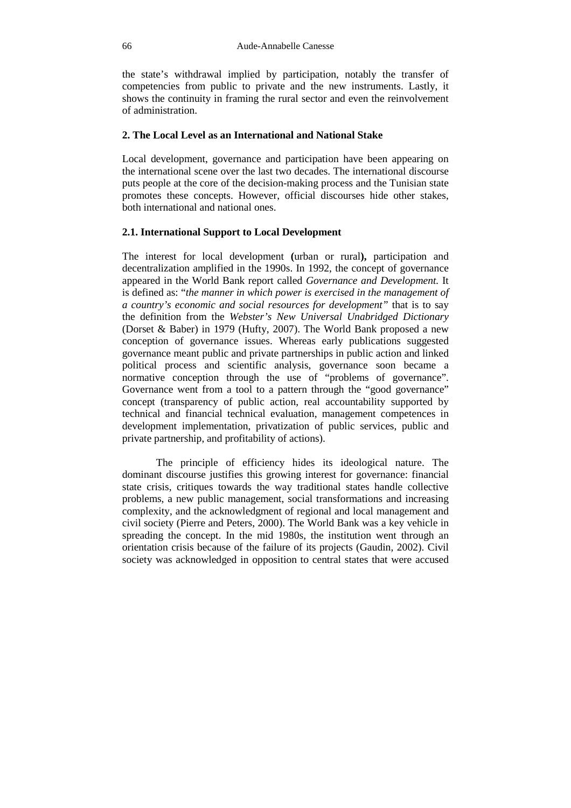the state's withdrawal implied by participation, notably the transfer of competencies from public to private and the new instruments. Lastly, it shows the continuity in framing the rural sector and even the reinvolvement of administration.

## **2. The Local Level as an International and National Stake**

Local development, governance and participation have been appearing on the international scene over the last two decades. The international discourse puts people at the core of the decision-making process and the Tunisian state promotes these concepts. However, official discourses hide other stakes, both international and national ones.

## **2.1. International Support to Local Development**

The interest for local development **(**urban or rural**),** participation and decentralization amplified in the 1990s. In 1992, the concept of governance appeared in the World Bank report called *Governance and Development.* It is defined as: "*the manner in which power is exercised in the management of a country's economic and social resources for development"* that is to say the definition from the *Webster's New Universal Unabridged Dictionary*  (Dorset & Baber) in 1979 (Hufty, 2007). The World Bank proposed a new conception of governance issues. Whereas early publications suggested governance meant public and private partnerships in public action and linked political process and scientific analysis, governance soon became a normative conception through the use of "problems of governance". Governance went from a tool to a pattern through the "good governance" concept (transparency of public action, real accountability supported by technical and financial technical evaluation, management competences in development implementation, privatization of public services, public and private partnership, and profitability of actions).

The principle of efficiency hides its ideological nature. The dominant discourse justifies this growing interest for governance: financial state crisis, critiques towards the way traditional states handle collective problems, a new public management, social transformations and increasing complexity, and the acknowledgment of regional and local management and civil society (Pierre and Peters, 2000). The World Bank was a key vehicle in spreading the concept. In the mid 1980s, the institution went through an orientation crisis because of the failure of its projects (Gaudin, 2002). Civil society was acknowledged in opposition to central states that were accused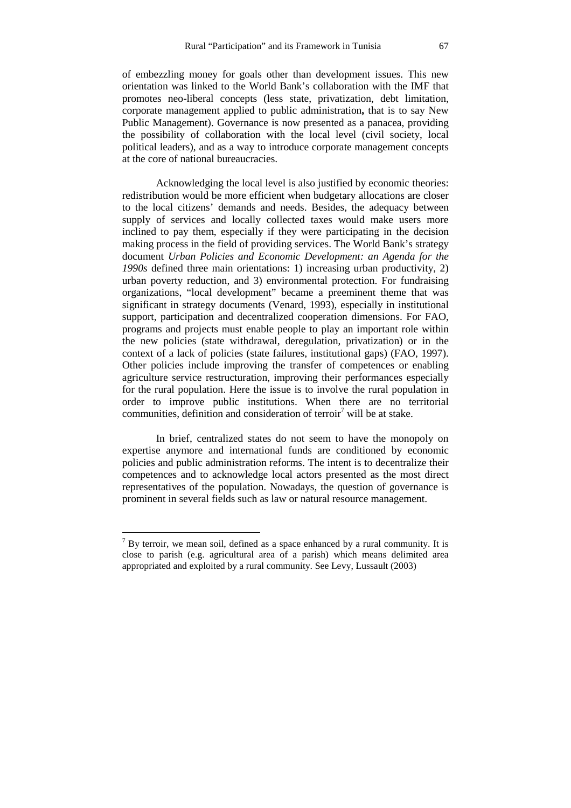of embezzling money for goals other than development issues. This new orientation was linked to the World Bank's collaboration with the IMF that promotes neo-liberal concepts (less state, privatization, debt limitation, corporate management applied to public administration**,** that is to say New Public Management). Governance is now presented as a panacea, providing the possibility of collaboration with the local level (civil society, local political leaders), and as a way to introduce corporate management concepts at the core of national bureaucracies.

Acknowledging the local level is also justified by economic theories: redistribution would be more efficient when budgetary allocations are closer to the local citizens' demands and needs. Besides, the adequacy between supply of services and locally collected taxes would make users more inclined to pay them, especially if they were participating in the decision making process in the field of providing services. The World Bank's strategy document *Urban Policies and Economic Development: an Agenda for the 1990s* defined three main orientations: 1) increasing urban productivity, 2) urban poverty reduction, and 3) environmental protection. For fundraising organizations, "local development" became a preeminent theme that was significant in strategy documents (Venard, 1993), especially in institutional support, participation and decentralized cooperation dimensions. For FAO, programs and projects must enable people to play an important role within the new policies (state withdrawal, deregulation, privatization) or in the context of a lack of policies (state failures, institutional gaps) (FAO, 1997). Other policies include improving the transfer of competences or enabling agriculture service restructuration, improving their performances especially for the rural population. Here the issue is to involve the rural population in order to improve public institutions. When there are no territorial communities, definition and consideration of terroir<sup>7</sup> will be at stake.

In brief, centralized states do not seem to have the monopoly on expertise anymore and international funds are conditioned by economic policies and public administration reforms. The intent is to decentralize their competences and to acknowledge local actors presented as the most direct representatives of the population. Nowadays, the question of governance is prominent in several fields such as law or natural resource management.

 $<sup>7</sup>$  By terroir, we mean soil, defined as a space enhanced by a rural community. It is</sup> close to parish (e.g. agricultural area of a parish) which means delimited area appropriated and exploited by a rural community. See Levy, Lussault (2003)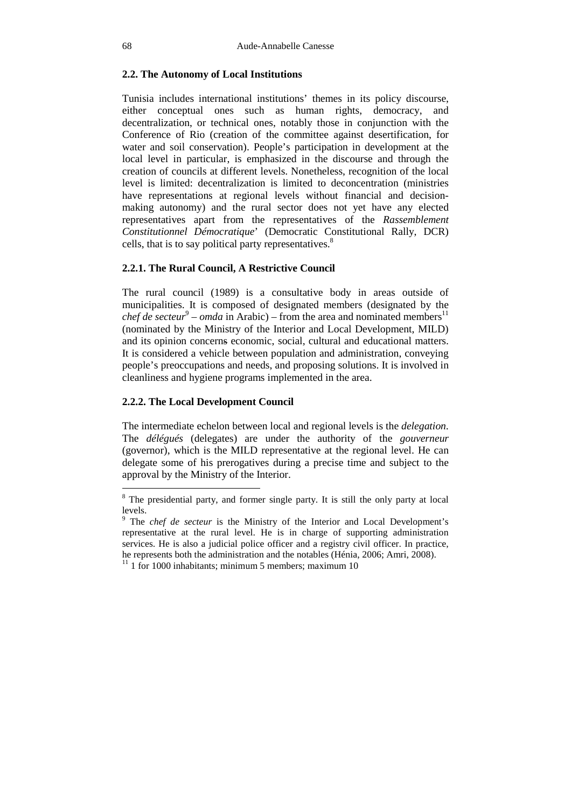## **2.2. The Autonomy of Local Institutions**

Tunisia includes international institutions' themes in its policy discourse, either conceptual ones such as human rights, democracy, and decentralization, or technical ones, notably those in conjunction with the Conference of Rio (creation of the committee against desertification, for water and soil conservation). People's participation in development at the local level in particular, is emphasized in the discourse and through the creation of councils at different levels. Nonetheless, recognition of the local level is limited: decentralization is limited to deconcentration (ministries have representations at regional levels without financial and decisionmaking autonomy) and the rural sector does not yet have any elected representatives apart from the representatives of the *Rassemblement Constitutionnel Démocratique*' (Democratic Constitutional Rally, DCR) cells, that is to say political party representatives.<sup>8</sup>

## **2.2.1. The Rural Council, A Restrictive Council**

The rural council (1989) is a consultative body in areas outside of municipalities. It is composed of designated members (designated by the *chef de secteur*<sup>9</sup> – *omda* in Arabic) – from the area and nominated members<sup>11</sup> (nominated by the Ministry of the Interior and Local Development, MILD) and its opinion concerns economic, social, cultural and educational matters. It is considered a vehicle between population and administration, conveying people's preoccupations and needs, and proposing solutions. It is involved in cleanliness and hygiene programs implemented in the area.

#### **2.2.2. The Local Development Council**

The intermediate echelon between local and regional levels is the *delegation*. The *délégués* (delegates) are under the authority of the *gouverneur* (governor), which is the MILD representative at the regional level. He can delegate some of his prerogatives during a precise time and subject to the approval by the Ministry of the Interior.

<sup>&</sup>lt;sup>8</sup> The presidential party, and former single party. It is still the only party at local levels.

<sup>&</sup>lt;sup>9</sup> The *chef de secteur* is the Ministry of the Interior and Local Development's representative at the rural level. He is in charge of supporting administration services. He is also a judicial police officer and a registry civil officer. In practice, he represents both the administration and the notables (Hénia, 2006; Amri, 2008).

 $11$  1 for 1000 inhabitants; minimum 5 members; maximum 10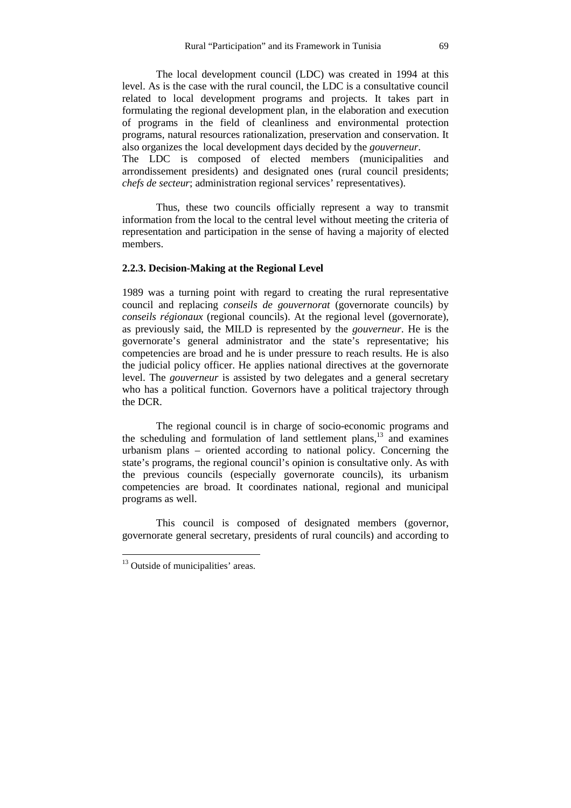The local development council (LDC) was created in 1994 at this level. As is the case with the rural council, the LDC is a consultative council related to local development programs and projects. It takes part in formulating the regional development plan, in the elaboration and execution of programs in the field of cleanliness and environmental protection programs, natural resources rationalization, preservation and conservation. It also organizes the local development days decided by the *gouverneur*.

The LDC is composed of elected members (municipalities and arrondissement presidents) and designated ones (rural council presidents; *chefs de secteur*; administration regional services' representatives).

Thus, these two councils officially represent a way to transmit information from the local to the central level without meeting the criteria of representation and participation in the sense of having a majority of elected members.

## **2.2.3. Decision-Making at the Regional Level**

1989 was a turning point with regard to creating the rural representative council and replacing *conseils de gouvernorat* (governorate councils) by *conseils régionaux* (regional councils). At the regional level (governorate), as previously said, the MILD is represented by the *gouverneur*. He is the governorate's general administrator and the state's representative; his competencies are broad and he is under pressure to reach results. He is also the judicial policy officer. He applies national directives at the governorate level. The *gouverneur* is assisted by two delegates and a general secretary who has a political function. Governors have a political trajectory through the DCR.

The regional council is in charge of socio-economic programs and the scheduling and formulation of land settlement plans, $13$  and examines urbanism plans – oriented according to national policy. Concerning the state's programs, the regional council's opinion is consultative only. As with the previous councils (especially governorate councils), its urbanism competencies are broad. It coordinates national, regional and municipal programs as well.

This council is composed of designated members (governor, governorate general secretary, presidents of rural councils) and according to

<sup>&</sup>lt;sup>13</sup> Outside of municipalities' areas.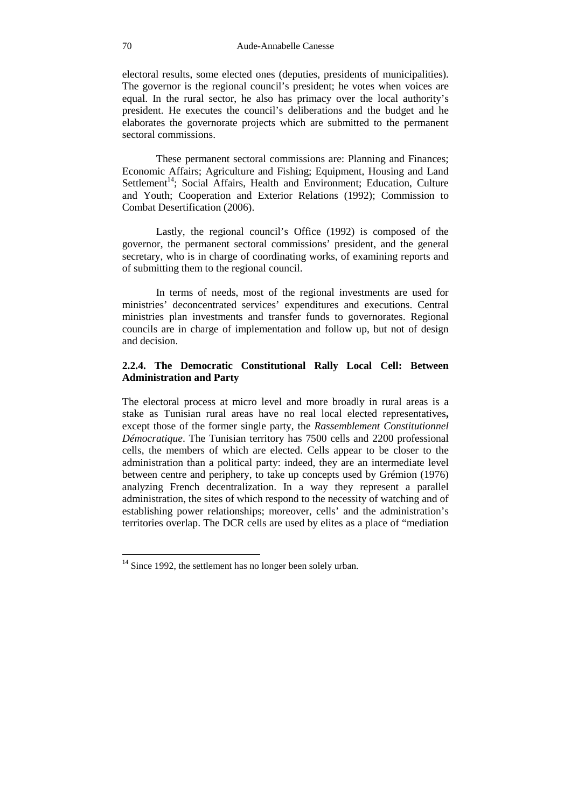electoral results, some elected ones (deputies, presidents of municipalities). The governor is the regional council's president; he votes when voices are equal. In the rural sector, he also has primacy over the local authority's president. He executes the council's deliberations and the budget and he elaborates the governorate projects which are submitted to the permanent sectoral commissions.

These permanent sectoral commissions are: Planning and Finances; Economic Affairs; Agriculture and Fishing; Equipment, Housing and Land Settlement<sup>14</sup>; Social Affairs, Health and Environment; Education, Culture and Youth; Cooperation and Exterior Relations (1992); Commission to Combat Desertification (2006).

Lastly, the regional council's Office (1992) is composed of the governor, the permanent sectoral commissions' president, and the general secretary, who is in charge of coordinating works, of examining reports and of submitting them to the regional council.

In terms of needs, most of the regional investments are used for ministries' deconcentrated services' expenditures and executions. Central ministries plan investments and transfer funds to governorates. Regional councils are in charge of implementation and follow up, but not of design and decision.

## **2.2.4. The Democratic Constitutional Rally Local Cell: Between Administration and Party**

The electoral process at micro level and more broadly in rural areas is a stake as Tunisian rural areas have no real local elected representatives**,** except those of the former single party, the *Rassemblement Constitutionnel Démocratique*. The Tunisian territory has 7500 cells and 2200 professional cells, the members of which are elected. Cells appear to be closer to the administration than a political party: indeed, they are an intermediate level between centre and periphery, to take up concepts used by Grémion (1976) analyzing French decentralization. In a way they represent a parallel administration, the sites of which respond to the necessity of watching and of establishing power relationships; moreover, cells' and the administration's territories overlap. The DCR cells are used by elites as a place of "mediation

 $14$  Since 1992, the settlement has no longer been solely urban.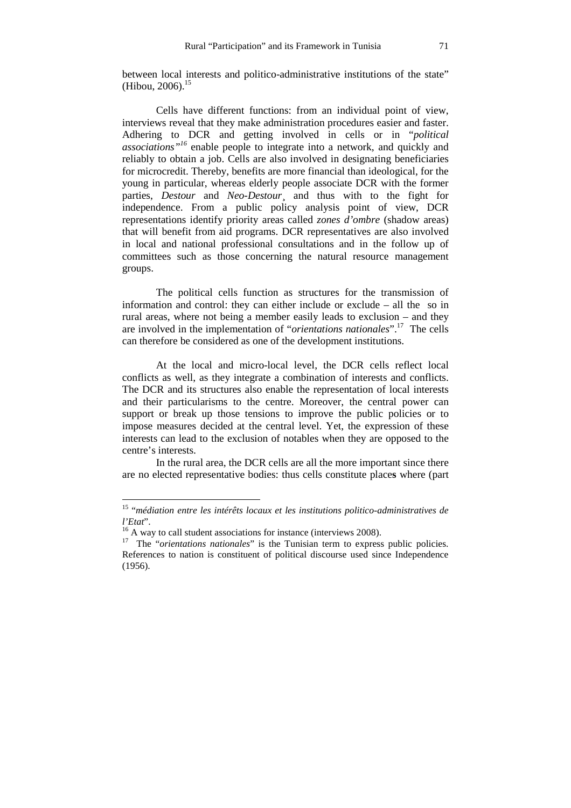between local interests and politico-administrative institutions of the state" (Hibou, 2006).<sup>15</sup>

Cells have different functions: from an individual point of view, interviews reveal that they make administration procedures easier and faster. Adhering to DCR and getting involved in cells or in "*political associations"<sup>16</sup>* enable people to integrate into a network, and quickly and reliably to obtain a job. Cells are also involved in designating beneficiaries for microcredit. Thereby, benefits are more financial than ideological, for the young in particular, whereas elderly people associate DCR with the former parties, *Destour* and *Neo-Destour*¸ and thus with to the fight for independence. From a public policy analysis point of view, DCR representations identify priority areas called *zones d'ombre* (shadow areas) that will benefit from aid programs. DCR representatives are also involved in local and national professional consultations and in the follow up of committees such as those concerning the natural resource management groups.

The political cells function as structures for the transmission of information and control: they can either include or exclude – all the so in rural areas, where not being a member easily leads to exclusion – and they are involved in the implementation of "*orientations nationales*".<sup>17</sup> The cells can therefore be considered as one of the development institutions.

At the local and micro-local level, the DCR cells reflect local conflicts as well, as they integrate a combination of interests and conflicts. The DCR and its structures also enable the representation of local interests and their particularisms to the centre. Moreover, the central power can support or break up those tensions to improve the public policies or to impose measures decided at the central level. Yet, the expression of these interests can lead to the exclusion of notables when they are opposed to the centre's interests.

In the rural area, the DCR cells are all the more important since there are no elected representative bodies: thus cells constitute place**s** where (part

<sup>15</sup> "*médiation entre les intérêts locaux et les institutions politico-administratives de l'Etat*".

<sup>&</sup>lt;sup>16</sup> A way to call student associations for instance (interviews 2008).

<sup>&</sup>lt;sup>17</sup> The "*orientations nationales*" is the Tunisian term to express public policies. References to nation is constituent of political discourse used since Independence (1956).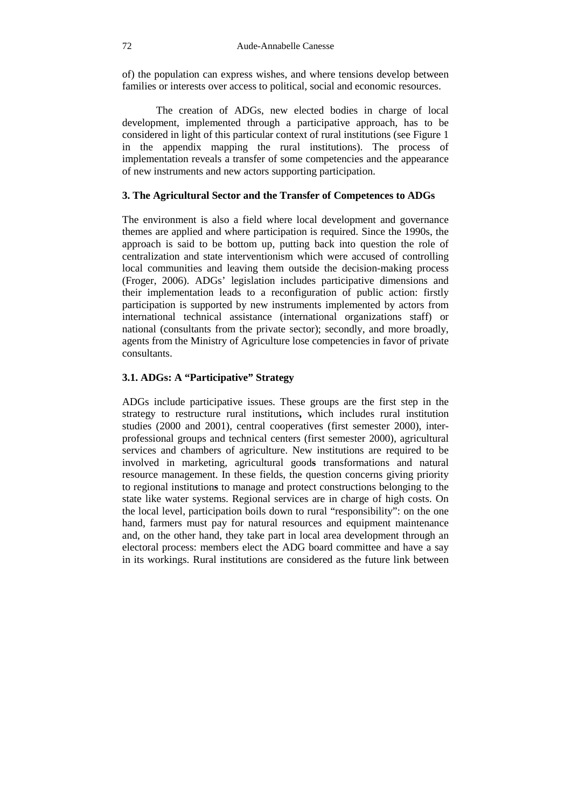of) the population can express wishes, and where tensions develop between families or interests over access to political, social and economic resources.

The creation of ADGs, new elected bodies in charge of local development, implemented through a participative approach, has to be considered in light of this particular context of rural institutions (see Figure 1 in the appendix mapping the rural institutions). The process of implementation reveals a transfer of some competencies and the appearance of new instruments and new actors supporting participation.

## **3. The Agricultural Sector and the Transfer of Competences to ADGs**

The environment is also a field where local development and governance themes are applied and where participation is required. Since the 1990s, the approach is said to be bottom up, putting back into question the role of centralization and state interventionism which were accused of controlling local communities and leaving them outside the decision-making process (Froger, 2006). ADGs' legislation includes participative dimensions and their implementation leads to a reconfiguration of public action: firstly participation is supported by new instruments implemented by actors from international technical assistance (international organizations staff) or national (consultants from the private sector); secondly, and more broadly, agents from the Ministry of Agriculture lose competencies in favor of private consultants.

### **3.1. ADGs: A "Participative" Strategy**

ADGs include participative issues. These groups are the first step in the strategy to restructure rural institutions**,** which includes rural institution studies (2000 and 2001), central cooperatives (first semester 2000), interprofessional groups and technical centers (first semester 2000), agricultural services and chambers of agriculture. New institutions are required to be involved in marketing, agricultural good**s** transformations and natural resource management. In these fields, the question concerns giving priority to regional institution**s** to manage and protect constructions belonging to the state like water systems. Regional services are in charge of high costs. On the local level, participation boils down to rural "responsibility": on the one hand, farmers must pay for natural resources and equipment maintenance and, on the other hand, they take part in local area development through an electoral process: members elect the ADG board committee and have a say in its workings. Rural institutions are considered as the future link between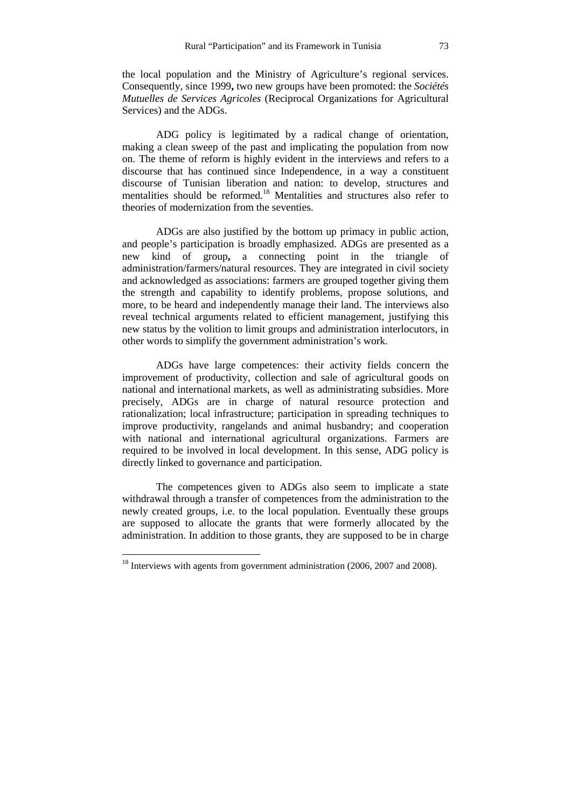the local population and the Ministry of Agriculture's regional services. Consequently, since 1999**,** two new groups have been promoted: the *Sociétés Mutuelles de Services Agricoles* (Reciprocal Organizations for Agricultural Services) and the ADGs.

ADG policy is legitimated by a radical change of orientation, making a clean sweep of the past and implicating the population from now on. The theme of reform is highly evident in the interviews and refers to a discourse that has continued since Independence, in a way a constituent discourse of Tunisian liberation and nation: to develop, structures and mentalities should be reformed.<sup>18</sup> Mentalities and structures also refer to theories of modernization from the seventies.

ADGs are also justified by the bottom up primacy in public action, and people's participation is broadly emphasized. ADGs are presented as a new kind of group**,** a connecting point in the triangle of administration/farmers/natural resources. They are integrated in civil society and acknowledged as associations: farmers are grouped together giving them the strength and capability to identify problems, propose solutions, and more, to be heard and independently manage their land. The interviews also reveal technical arguments related to efficient management, justifying this new status by the volition to limit groups and administration interlocutors, in other words to simplify the government administration's work.

ADGs have large competences: their activity fields concern the improvement of productivity, collection and sale of agricultural goods on national and international markets, as well as administrating subsidies. More precisely, ADGs are in charge of natural resource protection and rationalization; local infrastructure; participation in spreading techniques to improve productivity, rangelands and animal husbandry; and cooperation with national and international agricultural organizations. Farmers are required to be involved in local development. In this sense, ADG policy is directly linked to governance and participation.

The competences given to ADGs also seem to implicate a state withdrawal through a transfer of competences from the administration to the newly created groups, i.e. to the local population. Eventually these groups are supposed to allocate the grants that were formerly allocated by the administration. In addition to those grants, they are supposed to be in charge

 $18$  Interviews with agents from government administration (2006, 2007 and 2008).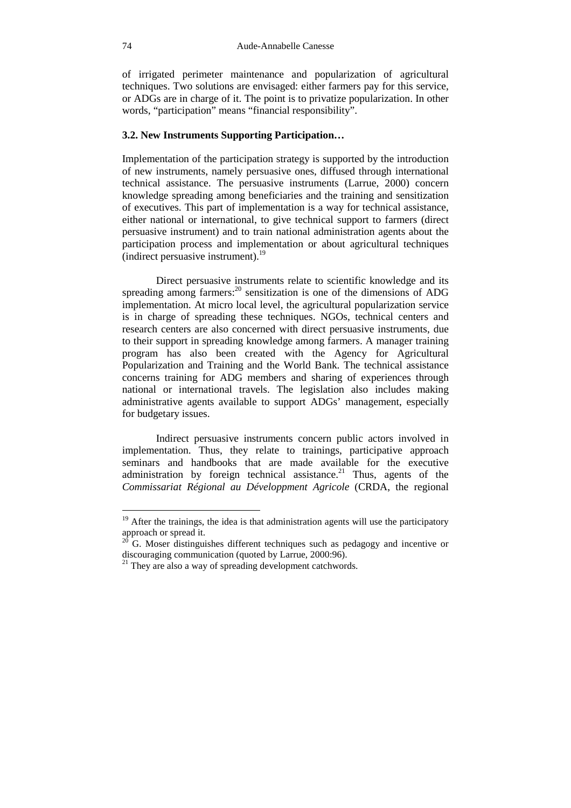of irrigated perimeter maintenance and popularization of agricultural techniques. Two solutions are envisaged: either farmers pay for this service, or ADGs are in charge of it. The point is to privatize popularization. In other words, "participation" means "financial responsibility".

## **3.2. New Instruments Supporting Participation…**

Implementation of the participation strategy is supported by the introduction of new instruments, namely persuasive ones, diffused through international technical assistance. The persuasive instruments (Larrue, 2000) concern knowledge spreading among beneficiaries and the training and sensitization of executives. This part of implementation is a way for technical assistance, either national or international, to give technical support to farmers (direct persuasive instrument) and to train national administration agents about the participation process and implementation or about agricultural techniques (indirect persuasive instrument).<sup>19</sup>

Direct persuasive instruments relate to scientific knowledge and its spreading among farmers:<sup>20</sup> sensitization is one of the dimensions of ADG implementation. At micro local level, the agricultural popularization service is in charge of spreading these techniques. NGOs, technical centers and research centers are also concerned with direct persuasive instruments, due to their support in spreading knowledge among farmers. A manager training program has also been created with the Agency for Agricultural Popularization and Training and the World Bank. The technical assistance concerns training for ADG members and sharing of experiences through national or international travels. The legislation also includes making administrative agents available to support ADGs' management, especially for budgetary issues.

Indirect persuasive instruments concern public actors involved in implementation. Thus, they relate to trainings, participative approach seminars and handbooks that are made available for the executive administration by foreign technical assistance.<sup>21</sup> Thus, agents of the *Commissariat Régional au Développment Agricole* (CRDA, the regional

 $19$  After the trainings, the idea is that administration agents will use the participatory approach or spread it.

 $20\text{ }\overline{\text{}}$ G. Moser distinguishes different techniques such as pedagogy and incentive or discouraging communication (quoted by Larrue, 2000:96).

 $21$  They are also a way of spreading development catchwords.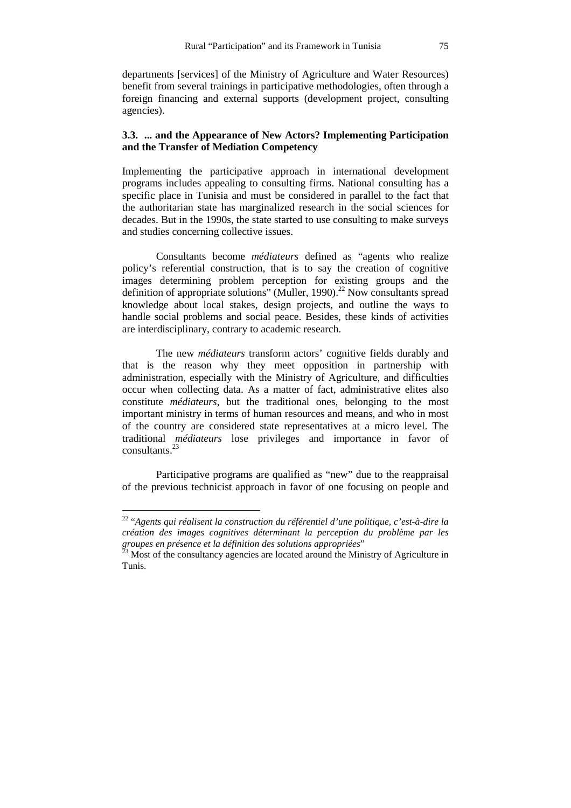departments [services] of the Ministry of Agriculture and Water Resources) benefit from several trainings in participative methodologies, often through a foreign financing and external supports (development project, consulting agencies).

## **3.3. ... and the Appearance of New Actors? Implementing Participation and the Transfer of Mediation Competency**

Implementing the participative approach in international development programs includes appealing to consulting firms. National consulting has a specific place in Tunisia and must be considered in parallel to the fact that the authoritarian state has marginalized research in the social sciences for decades. But in the 1990s, the state started to use consulting to make surveys and studies concerning collective issues.

Consultants become *médiateurs* defined as "agents who realize policy's referential construction, that is to say the creation of cognitive images determining problem perception for existing groups and the definition of appropriate solutions" (Muller, 1990). <sup>22</sup> Now consultants spread knowledge about local stakes, design projects, and outline the ways to handle social problems and social peace. Besides, these kinds of activities are interdisciplinary, contrary to academic research.

The new *médiateurs* transform actors' cognitive fields durably and that is the reason why they meet opposition in partnership with administration, especially with the Ministry of Agriculture, and difficulties occur when collecting data. As a matter of fact, administrative elites also constitute *médiateurs*, but the traditional ones, belonging to the most important ministry in terms of human resources and means, and who in most of the country are considered state representatives at a micro level. The traditional *médiateurs* lose privileges and importance in favor of consultants.<sup>23</sup>

Participative programs are qualified as "new" due to the reappraisal of the previous technicist approach in favor of one focusing on people and

<sup>22</sup> "*Agents qui réalisent la construction du référentiel d'une politique, c'est-à-dire la création des images cognitives déterminant la perception du problème par les groupes en présence et la définition des solutions appropriées*"

 $^{23}$  Most of the consultancy agencies are located around the Ministry of Agriculture in Tunis.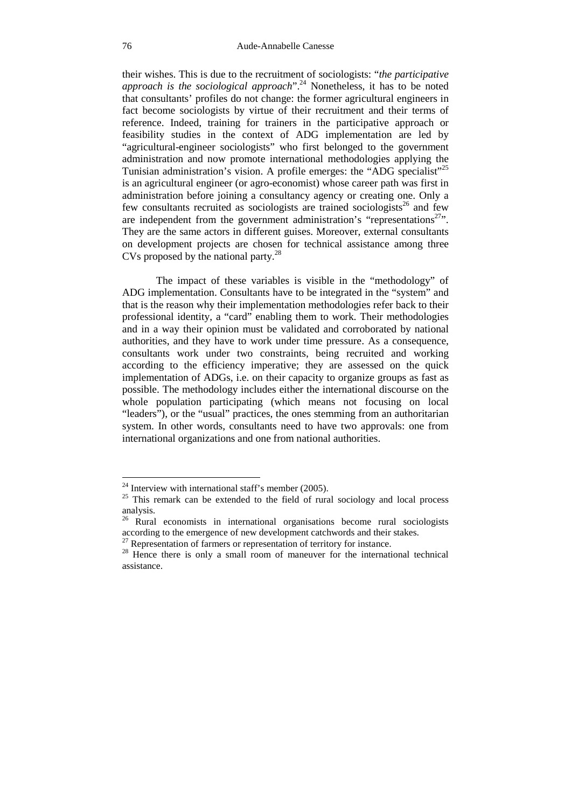their wishes. This is due to the recruitment of sociologists: "*the participative approach is the sociological approach*".<sup>24</sup> Nonetheless, it has to be noted that consultants' profiles do not change: the former agricultural engineers in fact become sociologists by virtue of their recruitment and their terms of reference. Indeed, training for trainers in the participative approach or feasibility studies in the context of ADG implementation are led by "agricultural-engineer sociologists" who first belonged to the government administration and now promote international methodologies applying the Tunisian administration's vision. A profile emerges: the "ADG specialist"<sup>25</sup> is an agricultural engineer (or agro-economist) whose career path was first in administration before joining a consultancy agency or creating one. Only a few consultants recruited as sociologists are trained sociologists<sup>26</sup> and few are independent from the government administration's "representations<sup>27</sup>". They are the same actors in different guises. Moreover, external consultants on development projects are chosen for technical assistance among three CVs proposed by the national party.<sup>28</sup>

The impact of these variables is visible in the "methodology" of ADG implementation. Consultants have to be integrated in the "system" and that is the reason why their implementation methodologies refer back to their professional identity, a "card" enabling them to work. Their methodologies and in a way their opinion must be validated and corroborated by national authorities, and they have to work under time pressure. As a consequence, consultants work under two constraints, being recruited and working according to the efficiency imperative; they are assessed on the quick implementation of ADGs, i.e. on their capacity to organize groups as fast as possible. The methodology includes either the international discourse on the whole population participating (which means not focusing on local "leaders"), or the "usual" practices, the ones stemming from an authoritarian system. In other words, consultants need to have two approvals: one from international organizations and one from national authorities.

<sup>&</sup>lt;sup>24</sup> Interview with international staff's member  $(2005)$ .

<sup>&</sup>lt;sup>25</sup> This remark can be extended to the field of rural sociology and local process analysis.

<sup>&</sup>lt;sup>26</sup> Rural economists in international organisations become rural sociologists according to the emergence of new development catchwords and their stakes.

 $27$  Representation of farmers or representation of territory for instance.

<sup>&</sup>lt;sup>28</sup> Hence there is only a small room of maneuver for the international technical assistance.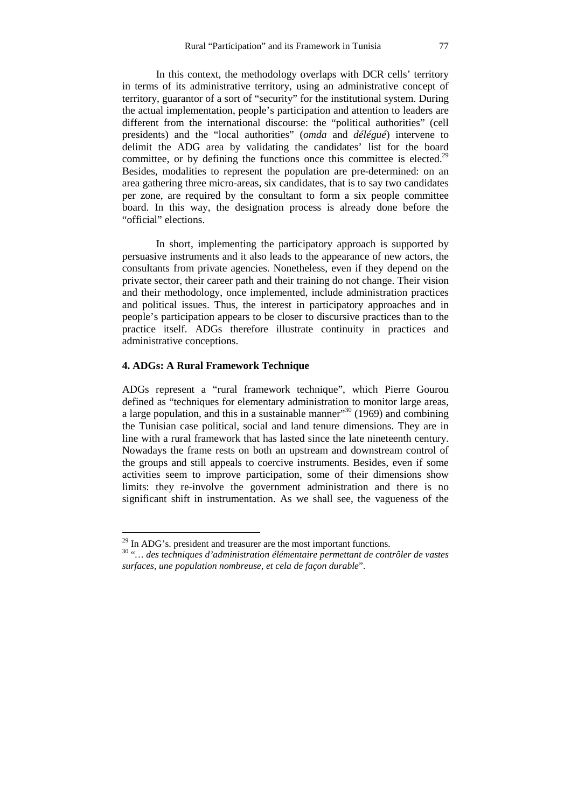In this context, the methodology overlaps with DCR cells' territory in terms of its administrative territory, using an administrative concept of territory, guarantor of a sort of "security" for the institutional system. During the actual implementation, people's participation and attention to leaders are different from the international discourse: the "political authorities" (cell presidents) and the "local authorities" (*omda* and *délégué*) intervene to delimit the ADG area by validating the candidates' list for the board committee, or by defining the functions once this committee is elected.<sup>29</sup> Besides, modalities to represent the population are pre-determined: on an area gathering three micro-areas, six candidates, that is to say two candidates per zone, are required by the consultant to form a six people committee board. In this way, the designation process is already done before the "official" elections.

In short, implementing the participatory approach is supported by persuasive instruments and it also leads to the appearance of new actors, the consultants from private agencies. Nonetheless, even if they depend on the private sector, their career path and their training do not change. Their vision and their methodology, once implemented, include administration practices and political issues. Thus, the interest in participatory approaches and in people's participation appears to be closer to discursive practices than to the practice itself. ADGs therefore illustrate continuity in practices and administrative conceptions.

### **4. ADGs: A Rural Framework Technique**

 $\overline{a}$ 

ADGs represent a "rural framework technique", which Pierre Gourou defined as "techniques for elementary administration to monitor large areas, a large population, and this in a sustainable manner"<sup>30</sup> (1969) and combining the Tunisian case political, social and land tenure dimensions. They are in line with a rural framework that has lasted since the late nineteenth century. Nowadays the frame rests on both an upstream and downstream control of the groups and still appeals to coercive instruments. Besides, even if some activities seem to improve participation, some of their dimensions show limits: they re-involve the government administration and there is no significant shift in instrumentation. As we shall see, the vagueness of the

 $29$  In ADG's. president and treasurer are the most important functions.

<sup>30</sup> "*… des techniques d'administration élémentaire permettant de contrôler de vastes surfaces, une population nombreuse, et cela de façon durable*".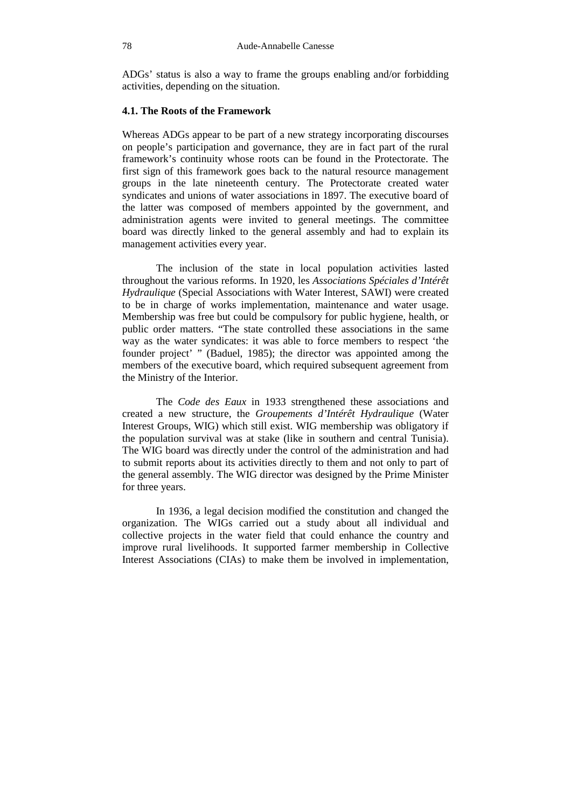ADGs' status is also a way to frame the groups enabling and/or forbidding activities, depending on the situation.

## **4.1. The Roots of the Framework**

Whereas ADGs appear to be part of a new strategy incorporating discourses on people's participation and governance, they are in fact part of the rural framework's continuity whose roots can be found in the Protectorate. The first sign of this framework goes back to the natural resource management groups in the late nineteenth century. The Protectorate created water syndicates and unions of water associations in 1897. The executive board of the latter was composed of members appointed by the government, and administration agents were invited to general meetings. The committee board was directly linked to the general assembly and had to explain its management activities every year.

The inclusion of the state in local population activities lasted throughout the various reforms. In 1920, les *Associations Spéciales d'Intérêt Hydraulique* (Special Associations with Water Interest, SAWI) were created to be in charge of works implementation, maintenance and water usage. Membership was free but could be compulsory for public hygiene, health, or public order matters. "The state controlled these associations in the same way as the water syndicates: it was able to force members to respect 'the founder project' " (Baduel, 1985); the director was appointed among the members of the executive board, which required subsequent agreement from the Ministry of the Interior.

The *Code des Eaux* in 1933 strengthened these associations and created a new structure, the *Groupements d'Intérêt Hydraulique* (Water Interest Groups, WIG) which still exist. WIG membership was obligatory if the population survival was at stake (like in southern and central Tunisia). The WIG board was directly under the control of the administration and had to submit reports about its activities directly to them and not only to part of the general assembly. The WIG director was designed by the Prime Minister for three years.

In 1936, a legal decision modified the constitution and changed the organization. The WIGs carried out a study about all individual and collective projects in the water field that could enhance the country and improve rural livelihoods. It supported farmer membership in Collective Interest Associations (CIAs) to make them be involved in implementation,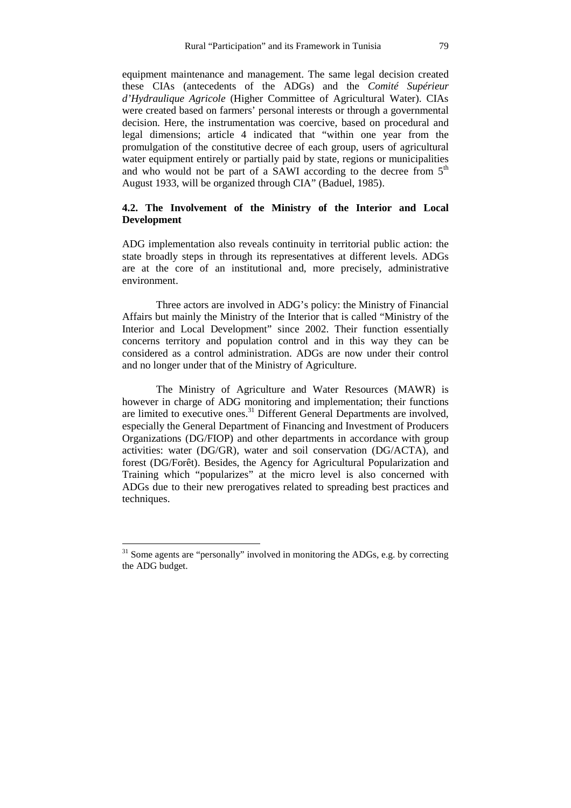equipment maintenance and management. The same legal decision created these CIAs (antecedents of the ADGs) and the *Comité Supérieur d'Hydraulique Agricole* (Higher Committee of Agricultural Water). CIAs were created based on farmers' personal interests or through a governmental decision. Here, the instrumentation was coercive, based on procedural and legal dimensions; article 4 indicated that "within one year from the promulgation of the constitutive decree of each group, users of agricultural water equipment entirely or partially paid by state, regions or municipalities and who would not be part of a SAWI according to the decree from  $5<sup>th</sup>$ August 1933, will be organized through CIA" (Baduel, 1985).

## **4.2. The Involvement of the Ministry of the Interior and Local Development**

ADG implementation also reveals continuity in territorial public action: the state broadly steps in through its representatives at different levels. ADGs are at the core of an institutional and, more precisely, administrative environment.

Three actors are involved in ADG's policy: the Ministry of Financial Affairs but mainly the Ministry of the Interior that is called "Ministry of the Interior and Local Development" since 2002. Their function essentially concerns territory and population control and in this way they can be considered as a control administration. ADGs are now under their control and no longer under that of the Ministry of Agriculture.

The Ministry of Agriculture and Water Resources (MAWR) is however in charge of ADG monitoring and implementation; their functions are limited to executive ones.<sup>31</sup> Different General Departments are involved, especially the General Department of Financing and Investment of Producers Organizations (DG/FIOP) and other departments in accordance with group activities: water (DG/GR), water and soil conservation (DG/ACTA), and forest (DG/Forêt). Besides, the Agency for Agricultural Popularization and Training which "popularizes" at the micro level is also concerned with ADGs due to their new prerogatives related to spreading best practices and techniques.

 $31$  Some agents are "personally" involved in monitoring the ADGs, e.g. by correcting the ADG budget.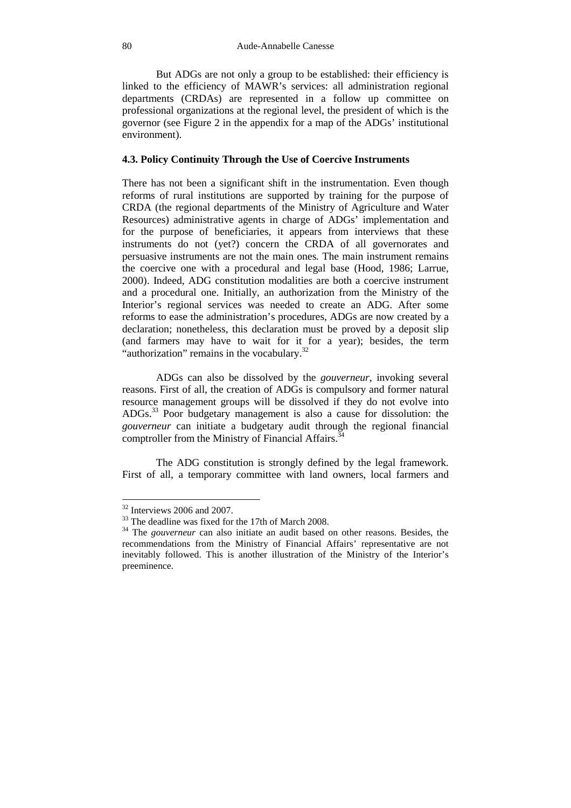But ADGs are not only a group to be established: their efficiency is linked to the efficiency of MAWR's services: all administration regional departments (CRDAs) are represented in a follow up committee on professional organizations at the regional level, the president of which is the governor (see Figure 2 in the appendix for a map of the ADGs' institutional environment).

## **4.3. Policy Continuity Through the Use of Coercive Instruments**

There has not been a significant shift in the instrumentation. Even though reforms of rural institutions are supported by training for the purpose of CRDA (the regional departments of the Ministry of Agriculture and Water Resources) administrative agents in charge of ADGs' implementation and for the purpose of beneficiaries, it appears from interviews that these instruments do not (yet?) concern the CRDA of all governorates and persuasive instruments are not the main ones*.* The main instrument remains the coercive one with a procedural and legal base (Hood, 1986; Larrue, 2000). Indeed, ADG constitution modalities are both a coercive instrument and a procedural one. Initially, an authorization from the Ministry of the Interior's regional services was needed to create an ADG. After some reforms to ease the administration's procedures, ADGs are now created by a declaration; nonetheless, this declaration must be proved by a deposit slip (and farmers may have to wait for it for a year); besides, the term "authorization" remains in the vocabulary. $32$ 

ADGs can also be dissolved by the *gouverneur*, invoking several reasons. First of all, the creation of ADGs is compulsory and former natural resource management groups will be dissolved if they do not evolve into ADGs.<sup>33</sup> Poor budgetary management is also a cause for dissolution: the *gouverneur* can initiate a budgetary audit through the regional financial comptroller from the Ministry of Financial Affairs.<sup>3</sup>

The ADG constitution is strongly defined by the legal framework. First of all, a temporary committee with land owners, local farmers and

<sup>&</sup>lt;sup>32</sup> Interviews 2006 and 2007.

<sup>&</sup>lt;sup>33</sup> The deadline was fixed for the 17th of March 2008.

<sup>34</sup> The *gouverneur* can also initiate an audit based on other reasons. Besides, the recommendations from the Ministry of Financial Affairs' representative are not inevitably followed. This is another illustration of the Ministry of the Interior's preeminence.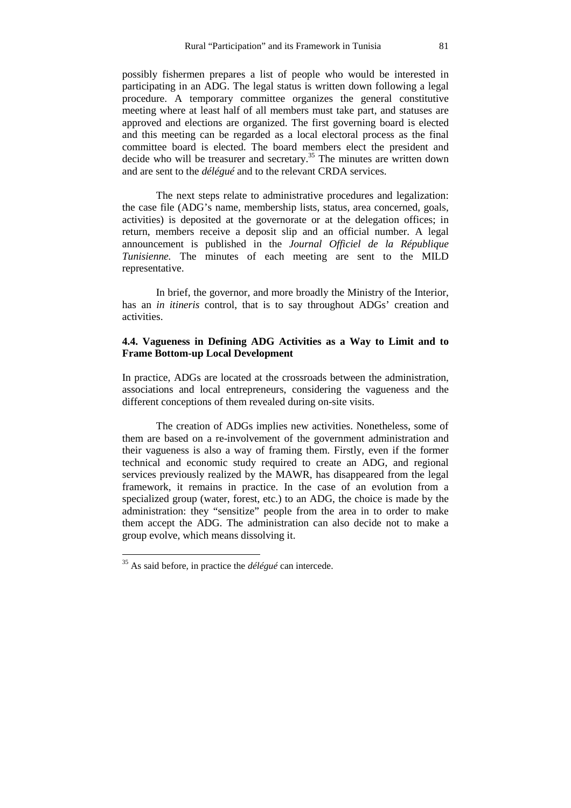possibly fishermen prepares a list of people who would be interested in participating in an ADG. The legal status is written down following a legal procedure. A temporary committee organizes the general constitutive meeting where at least half of all members must take part, and statuses are approved and elections are organized. The first governing board is elected and this meeting can be regarded as a local electoral process as the final committee board is elected. The board members elect the president and decide who will be treasurer and secretary.<sup>35</sup> The minutes are written down and are sent to the *délégué* and to the relevant CRDA services.

The next steps relate to administrative procedures and legalization: the case file (ADG's name, membership lists, status, area concerned, goals, activities) is deposited at the governorate or at the delegation offices; in return, members receive a deposit slip and an official number. A legal announcement is published in the *Journal Officiel de la République Tunisienne.* The minutes of each meeting are sent to the MILD representative.

In brief, the governor, and more broadly the Ministry of the Interior, has an *in itineris* control, that is to say throughout ADGs' creation and activities.

## **4.4. Vagueness in Defining ADG Activities as a Way to Limit and to Frame Bottom-up Local Development**

In practice, ADGs are located at the crossroads between the administration, associations and local entrepreneurs, considering the vagueness and the different conceptions of them revealed during on-site visits.

The creation of ADGs implies new activities. Nonetheless, some of them are based on a re-involvement of the government administration and their vagueness is also a way of framing them. Firstly, even if the former technical and economic study required to create an ADG, and regional services previously realized by the MAWR, has disappeared from the legal framework, it remains in practice. In the case of an evolution from a specialized group (water, forest, etc.) to an ADG, the choice is made by the administration: they "sensitize" people from the area in to order to make them accept the ADG. The administration can also decide not to make a group evolve, which means dissolving it.

<sup>35</sup> As said before, in practice the *délégué* can intercede.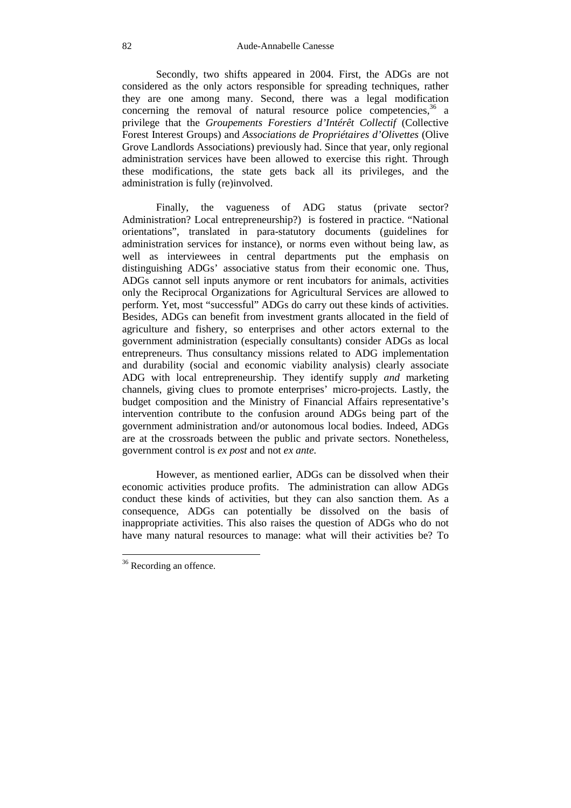Secondly, two shifts appeared in 2004. First, the ADGs are not considered as the only actors responsible for spreading techniques, rather they are one among many. Second, there was a legal modification concerning the removal of natural resource police competencies,  $36$  a privilege that the *Groupements Forestiers d'Intérêt Collectif* (Collective Forest Interest Groups) and *Associations de Propriétaires d'Olivettes* (Olive Grove Landlords Associations) previously had. Since that year, only regional administration services have been allowed to exercise this right. Through these modifications, the state gets back all its privileges, and the administration is fully (re)involved.

Finally, the vagueness of ADG status (private sector? Administration? Local entrepreneurship?) is fostered in practice. "National orientations", translated in para-statutory documents (guidelines for administration services for instance), or norms even without being law, as well as interviewees in central departments put the emphasis on distinguishing ADGs' associative status from their economic one. Thus, ADGs cannot sell inputs anymore or rent incubators for animals, activities only the Reciprocal Organizations for Agricultural Services are allowed to perform. Yet, most "successful" ADGs do carry out these kinds of activities. Besides, ADGs can benefit from investment grants allocated in the field of agriculture and fishery, so enterprises and other actors external to the government administration (especially consultants) consider ADGs as local entrepreneurs. Thus consultancy missions related to ADG implementation and durability (social and economic viability analysis) clearly associate ADG with local entrepreneurship. They identify supply *and* marketing channels, giving clues to promote enterprises' micro-projects. Lastly, the budget composition and the Ministry of Financial Affairs representative's intervention contribute to the confusion around ADGs being part of the government administration and/or autonomous local bodies. Indeed, ADGs are at the crossroads between the public and private sectors. Nonetheless, government control is *ex post* and not *ex ante.* 

However, as mentioned earlier, ADGs can be dissolved when their economic activities produce profits. The administration can allow ADGs conduct these kinds of activities, but they can also sanction them. As a consequence, ADGs can potentially be dissolved on the basis of inappropriate activities. This also raises the question of ADGs who do not have many natural resources to manage: what will their activities be? To

<sup>&</sup>lt;sup>36</sup> Recording an offence.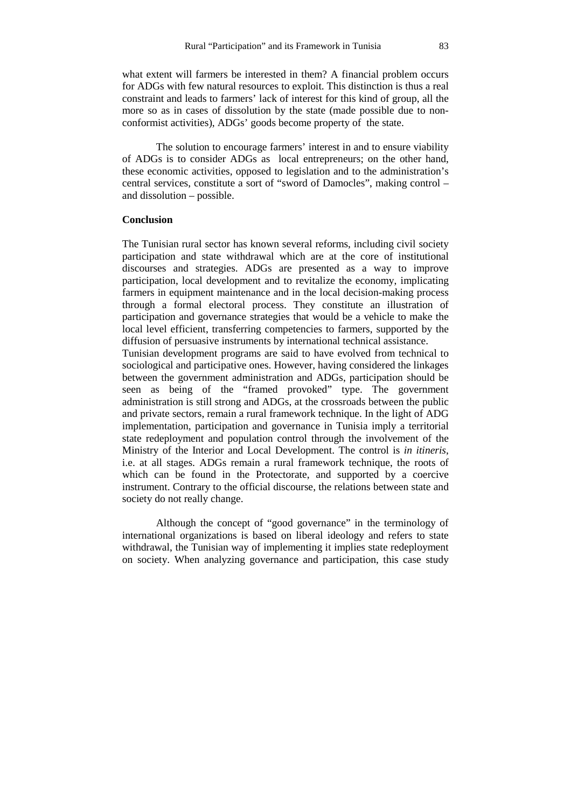what extent will farmers be interested in them? A financial problem occurs for ADGs with few natural resources to exploit. This distinction is thus a real constraint and leads to farmers' lack of interest for this kind of group, all the more so as in cases of dissolution by the state (made possible due to nonconformist activities), ADGs' goods become property of the state.

The solution to encourage farmers' interest in and to ensure viability of ADGs is to consider ADGs as local entrepreneurs; on the other hand, these economic activities, opposed to legislation and to the administration's central services, constitute a sort of "sword of Damocles", making control – and dissolution – possible.

## **Conclusion**

The Tunisian rural sector has known several reforms, including civil society participation and state withdrawal which are at the core of institutional discourses and strategies. ADGs are presented as a way to improve participation, local development and to revitalize the economy, implicating farmers in equipment maintenance and in the local decision-making process through a formal electoral process. They constitute an illustration of participation and governance strategies that would be a vehicle to make the local level efficient, transferring competencies to farmers, supported by the diffusion of persuasive instruments by international technical assistance.

Tunisian development programs are said to have evolved from technical to sociological and participative ones. However, having considered the linkages between the government administration and ADGs, participation should be seen as being of the "framed provoked" type. The government administration is still strong and ADGs, at the crossroads between the public and private sectors, remain a rural framework technique. In the light of ADG implementation, participation and governance in Tunisia imply a territorial state redeployment and population control through the involvement of the Ministry of the Interior and Local Development. The control is *in itineris*, i.e. at all stages. ADGs remain a rural framework technique, the roots of which can be found in the Protectorate, and supported by a coercive instrument. Contrary to the official discourse, the relations between state and society do not really change.

Although the concept of "good governance" in the terminology of international organizations is based on liberal ideology and refers to state withdrawal, the Tunisian way of implementing it implies state redeployment on society. When analyzing governance and participation, this case study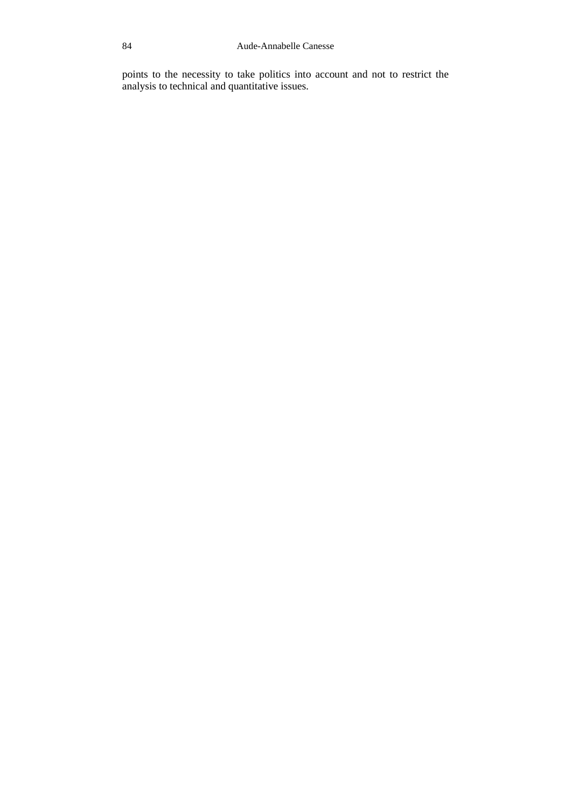points to the necessity to take politics into account and not to restrict the analysis to technical and quantitative issues.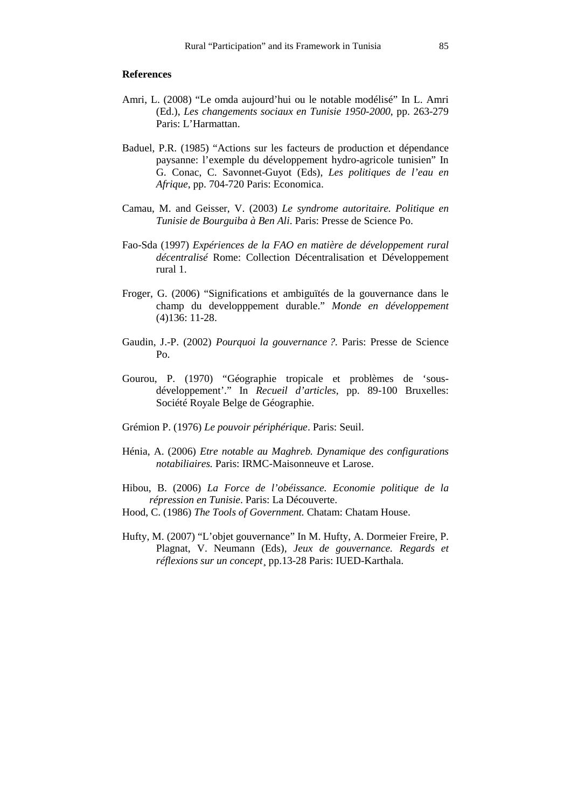#### **References**

- Amri, L. (2008) "Le omda aujourd'hui ou le notable modélisé" In L. Amri (Ed.), *Les changements sociaux en Tunisie 1950-2000*, pp. 263-279 Paris: L'Harmattan.
- Baduel, P.R. (1985) "Actions sur les facteurs de production et dépendance paysanne: l'exemple du développement hydro-agricole tunisien" In G. Conac, C. Savonnet-Guyot (Eds), *Les politiques de l'eau en Afrique*, pp. 704-720 Paris: Economica.
- Camau, M. and Geisser, V. (2003) *Le syndrome autoritaire. Politique en Tunisie de Bourguiba à Ben Ali*. Paris: Presse de Science Po.
- Fao-Sda (1997) *Expériences de la FAO en matière de développement rural décentralisé* Rome: Collection Décentralisation et Développement rural 1.
- Froger, G. (2006) "Significations et ambiguïtés de la gouvernance dans le champ du developppement durable." *Monde en développement*  (4)136: 11-28.
- Gaudin, J.-P. (2002) *Pourquoi la gouvernance ?*. Paris: Presse de Science  $P<sub>0</sub>$
- Gourou, P. (1970) "Géographie tropicale et problèmes de 'sousdéveloppement'." In *Recueil d'articles*, pp. 89-100 Bruxelles: Société Royale Belge de Géographie.
- Grémion P. (1976) *Le pouvoir périphérique*. Paris: Seuil.
- Hénia, A. (2006) *Etre notable au Maghreb. Dynamique des configurations notabiliaires.* Paris: IRMC-Maisonneuve et Larose.
- Hibou, B. (2006) *La Force de l'obéissance. Economie politique de la répression en Tunisie*. Paris: La Découverte.
- Hood, C. (1986) *The Tools of Government.* Chatam: Chatam House.
- Hufty, M. (2007) "L'objet gouvernance" In M. Hufty, A. Dormeier Freire, P. Plagnat, V. Neumann (Eds), *Jeux de gouvernance. Regards et réflexions sur un concept*¸ pp.13-28 Paris: IUED-Karthala.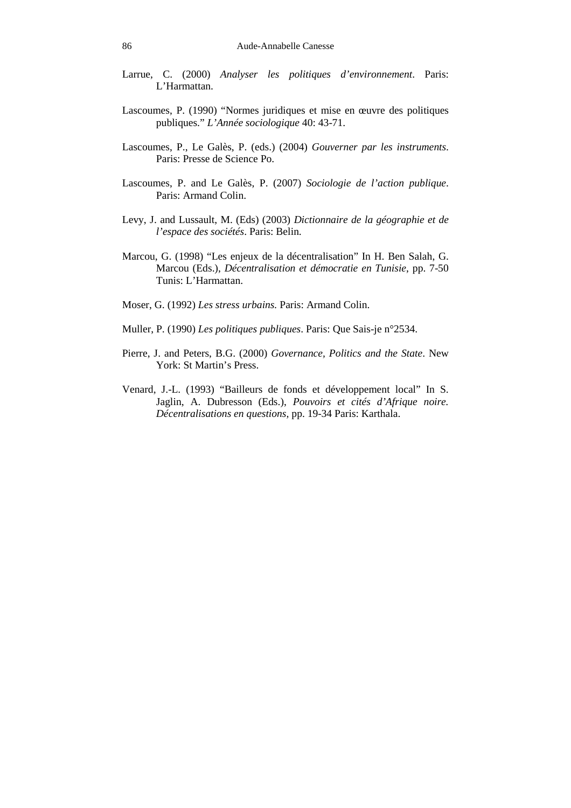- Larrue, C. (2000) *Analyser les politiques d'environnement*. Paris: L'Harmattan.
- Lascoumes, P. (1990) "Normes juridiques et mise en œuvre des politiques publiques." *L'Année sociologique* 40: 43-71.
- Lascoumes, P., Le Galès, P. (eds.) (2004) *Gouverner par les instruments*. Paris: Presse de Science Po.
- Lascoumes, P. and Le Galès, P. (2007) *Sociologie de l'action publique*. Paris: Armand Colin.
- Levy, J. and Lussault, M. (Eds) (2003) *Dictionnaire de la géographie et de l'espace des sociétés*. Paris: Belin.
- Marcou, G. (1998) "Les enjeux de la décentralisation" In H. Ben Salah, G. Marcou (Eds.), *Décentralisation et démocratie en Tunisie*, pp. 7-50 Tunis: L'Harmattan.
- Moser, G. (1992) *Les stress urbains.* Paris: Armand Colin.
- Muller, P. (1990) *Les politiques publiques*. Paris: Que Sais-je n°2534.
- Pierre, J. and Peters, B.G. (2000) *Governance, Politics and the State*. New York: St Martin's Press.
- Venard, J.-L. (1993) "Bailleurs de fonds et développement local" In S. Jaglin, A. Dubresson (Eds.), *Pouvoirs et cités d'Afrique noire. Décentralisations en questions,* pp. 19-34 Paris: Karthala.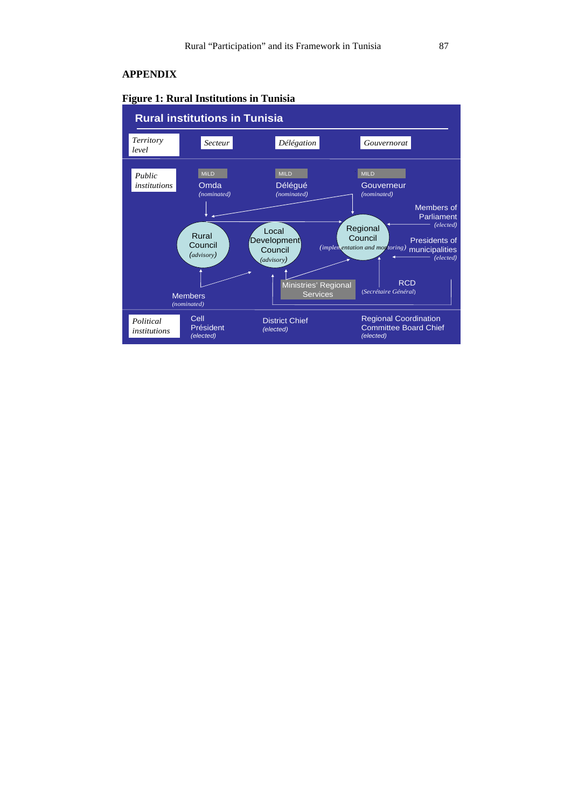## **APPENDIX**



## **Figure 1: Rural Institutions in Tunisia**